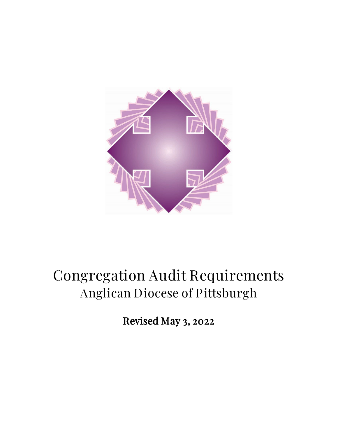

# Congregation Audit Requirements Anglican Diocese of Pittsburgh

Revised May 3, 2022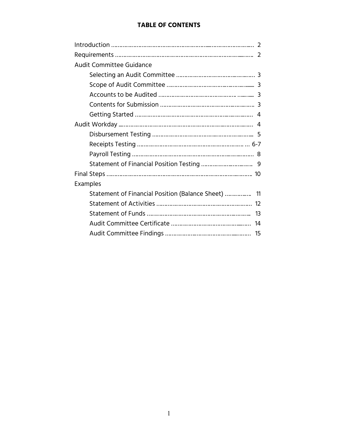## **TABLE OF CONTENTS**

| <b>Audit Committee Guidance</b>                     |
|-----------------------------------------------------|
|                                                     |
|                                                     |
|                                                     |
|                                                     |
|                                                     |
|                                                     |
|                                                     |
|                                                     |
|                                                     |
|                                                     |
|                                                     |
| <b>Examples</b>                                     |
| Statement of Financial Position (Balance Sheet)  11 |
|                                                     |
|                                                     |
|                                                     |
|                                                     |
|                                                     |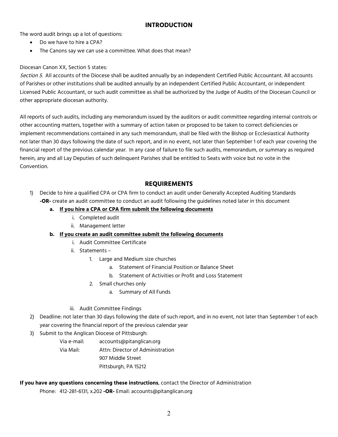## **INTRODUCTION**

The word audit brings up a lot of questions:

- Do we have to hire a CPA?
- The Canons say we can use a committee. What does that mean?

#### Diocesan Canon XX, Section 5 states:

Section 5. All accounts of the Diocese shall be audited annually by an independent Certified Public Accountant. All accounts of Parishes or other institutions shall be audited annually by an independent Certified Public Accountant, or independent Licensed Public Accountant, or such audit committee as shall be authorized by the Judge of Audits of the Diocesan Council or other appropriate diocesan authority.

All reports of such audits, including any memorandum issued by the auditors or audit committee regarding internal controls or other accounting matters, together with a summary of action taken or proposed to be taken to correct deficiencies or implement recommendations contained in any such memorandum, shall be filed with the Bishop or Ecclesiastical Authority not later than 30 days following the date of such report, and in no event, not later than September 1 of each year covering the financial report of the previous calendar year. In any case of failure to file such audits, memorandum, or summary as required herein, any and all Lay Deputies of such delinquent Parishes shall be entitled to Seats with voice but no vote in the Convention.

### **REQUIREMENTS**

- 1) Decide to hire a qualified CPA or CPA firm to conduct an audit under Generally Accepted Auditing Standards **-OR-** create an audit committee to conduct an audit following the guidelines noted later in this document
	- **a. If you hire a CPA or CPA firm submit the following documents**
		- i. Completed audit
		- ii. Management letter
	- **b. If you create an audit committee submit the following documents**
		- i. Audit Committee Certificate
		- ii. Statements
			- 1. Large and Medium size churches
				- a. Statement of Financial Position or Balance Sheet
				- b. Statement of Activities or Profit and Loss Statement
			- 2. Small churches only
				- a. Summary of All Funds

#### iii. Audit Committee Findings

- 2) Deadline: not later than 30 days following the date of such report, and in no event, not later than September 1 of each year covering the financial report of the previous calendar year
- 3) Submit to the Anglican Diocese of Pittsburgh:
	- Via e-mail: accounts@pitanglican.org Via Mail: Attn: Director of Administration 907 Middle Street Pittsburgh, PA 15212

#### **If you have any questions concerning these instructions**, contact the Director of Administration

Phone: 412-281-6131, x.202 **-OR-** Email: accounts@pitanglican.org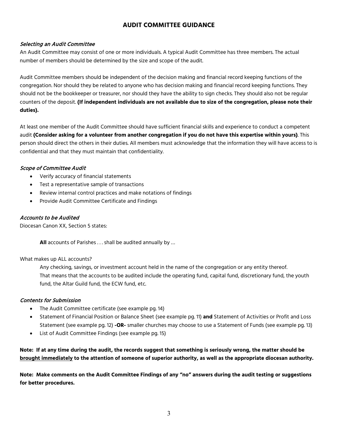## **AUDIT COMMITTEE GUIDANCE**

#### Selecting an Audit Committee

An Audit Committee may consist of one or more individuals. A typical Audit Committee has three members. The actual number of members should be determined by the size and scope of the audit.

Audit Committee members should be independent of the decision making and financial record keeping functions of the congregation. Nor should they be related to anyone who has decision making and financial record keeping functions. They should not be the bookkeeper or treasurer, nor should they have the ability to sign checks. They should also not be regular counters of the deposit. **(If independent individuals are not available due to size of the congregation, please note their duties).**

At least one member of the Audit Committee should have sufficient financial skills and experience to conduct a competent audit **(Consider asking for a volunteer from another congregation if you do not have this expertise within yours)**. This person should direct the others in their duties. All members must acknowledge that the information they will have access to is confidential and that they must maintain that confidentiality.

#### Scope of Committee Audit

- Verify accuracy of financial statements
- Test a representative sample of transactions
- Review internal control practices and make notations of findings
- Provide Audit Committee Certificate and Findings

#### Accounts to be Audited

Diocesan Canon XX, Section 5 states:

**All** accounts of Parishes . . . shall be audited annually by …

#### What makes up ALL accounts?

Any checking, savings, or investment account held in the name of the congregation or any entity thereof. That means that the accounts to be audited include the operating fund, capital fund, discretionary fund, the youth fund, the Altar Guild fund, the ECW fund, etc.

#### Contents for Submission

- The Audit Committee certificate (see example pg. 14)
- Statement of Financial Position or Balance Sheet (see example pg. 11) **and** Statement of Activities or Profit and Loss Statement (see example pg. 12) **-OR-** smaller churches may choose to use a Statement of Funds (see example pg. 13)
- List of Audit Committee Findings (see example pg. 15)

#### **Note: If at any time during the audit, the records suggest that something is seriously wrong, the matter should be brought immediately to the attention of someone of superior authority, as well as the appropriate diocesan authority.**

**Note: Make comments on the Audit Committee Findings of any "no" answers during the audit testing or suggestions for better procedures.**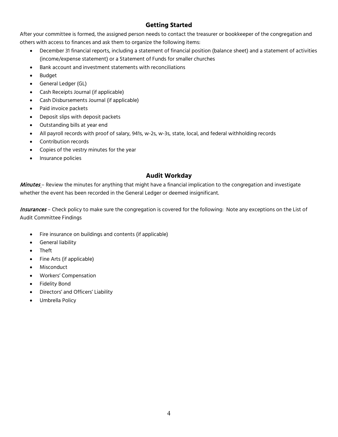## **Getting Started**

After your committee is formed, the assigned person needs to contact the treasurer or bookkeeper of the congregation and others with access to finances and ask them to organize the following items:

- December 31 financial reports, including a statement of financial position (balance sheet) and a statement of activities (income/expense statement) or a Statement of Funds for smaller churches
- Bank account and investment statements with reconciliations
- **Budget**
- General Ledger (GL)
- Cash Receipts Journal (if applicable)
- Cash Disbursements Journal (if applicable)
- Paid invoice packets
- Deposit slips with deposit packets
- Outstanding bills at year end
- All payroll records with proof of salary, 941s, w-2s, w-3s, state, local, and federal withholding records
- Contribution records
- Copies of the vestry minutes for the year
- Insurance policies

## **Audit Workday**

Minutes – Review the minutes for anything that might have a financial implication to the congregation and investigate whether the event has been recorded in the General Ledger or deemed insignificant.

Insurances - Check policy to make sure the congregation is covered for the following: Note any exceptions on the List of Audit Committee Findings

- Fire insurance on buildings and contents (if applicable)
- General liability
- Theft
- Fine Arts (if applicable)
- **Misconduct**
- Workers' Compensation
- **Fidelity Bond**
- Directors' and Officers' Liability
- Umbrella Policy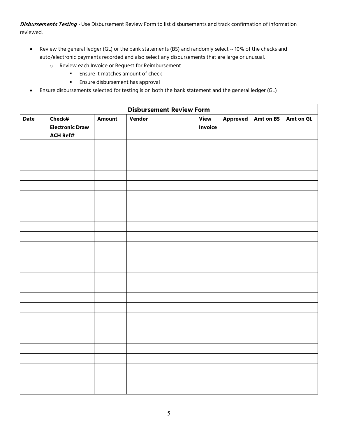Disbursements Testing - Use Disbursement Review Form to list disbursements and track confirmation of information reviewed.

- Review the general ledger (GL) or the bank statements (BS) and randomly select ~ 10% of the checks and auto/electronic payments recorded and also select any disbursements that are large or unusual.
	- o Review each Invoice or Request for Reimbursement
		- **Ensure it matches amount of check**
		- **Ensure disbursement has approval**
- Ensure disbursements selected for testing is on both the bank statement and the general ledger (GL)

|      | <b>Disbursement Review Form</b>                     |               |        |                        |  |                      |           |
|------|-----------------------------------------------------|---------------|--------|------------------------|--|----------------------|-----------|
| Date | Check#<br><b>Electronic Draw</b><br><b>ACH Ref#</b> | <b>Amount</b> | Vendor | View<br><b>Invoice</b> |  | Approved   Amt on BS | Amt on GL |
|      |                                                     |               |        |                        |  |                      |           |
|      |                                                     |               |        |                        |  |                      |           |
|      |                                                     |               |        |                        |  |                      |           |
|      |                                                     |               |        |                        |  |                      |           |
|      |                                                     |               |        |                        |  |                      |           |
|      |                                                     |               |        |                        |  |                      |           |
|      |                                                     |               |        |                        |  |                      |           |
|      |                                                     |               |        |                        |  |                      |           |
|      |                                                     |               |        |                        |  |                      |           |
|      |                                                     |               |        |                        |  |                      |           |
|      |                                                     |               |        |                        |  |                      |           |
|      |                                                     |               |        |                        |  |                      |           |
|      |                                                     |               |        |                        |  |                      |           |
|      |                                                     |               |        |                        |  |                      |           |
|      |                                                     |               |        |                        |  |                      |           |
|      |                                                     |               |        |                        |  |                      |           |
|      |                                                     |               |        |                        |  |                      |           |
|      |                                                     |               |        |                        |  |                      |           |
|      |                                                     |               |        |                        |  |                      |           |
|      |                                                     |               |        |                        |  |                      |           |
|      |                                                     |               |        |                        |  |                      |           |
|      |                                                     |               |        |                        |  |                      |           |
|      |                                                     |               |        |                        |  |                      |           |
|      |                                                     |               |        |                        |  |                      |           |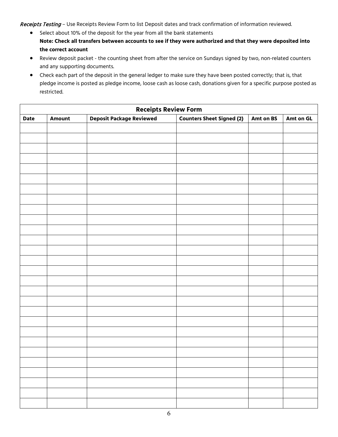Receipts Testing - Use Receipts Review Form to list Deposit dates and track confirmation of information reviewed.

- Select about 10% of the deposit for the year from all the bank statements **Note: Check all transfers between accounts to see if they were authorized and that they were deposited into the correct account**
- Review deposit packet the counting sheet from after the service on Sundays signed by two, non-related counters and any supporting documents.
- Check each part of the deposit in the general ledger to make sure they have been posted correctly; that is, that pledge income is posted as pledge income, loose cash as loose cash, donations given for a specific purpose posted as restricted.

| <b>Receipts Review Form</b> |               |                                 |                                  |           |           |  |
|-----------------------------|---------------|---------------------------------|----------------------------------|-----------|-----------|--|
| <b>Date</b>                 | <b>Amount</b> | <b>Deposit Package Reviewed</b> | <b>Counters Sheet Signed (2)</b> | Amt on BS | Amt on GL |  |
|                             |               |                                 |                                  |           |           |  |
|                             |               |                                 |                                  |           |           |  |
|                             |               |                                 |                                  |           |           |  |
|                             |               |                                 |                                  |           |           |  |
|                             |               |                                 |                                  |           |           |  |
|                             |               |                                 |                                  |           |           |  |
|                             |               |                                 |                                  |           |           |  |
|                             |               |                                 |                                  |           |           |  |
|                             |               |                                 |                                  |           |           |  |
|                             |               |                                 |                                  |           |           |  |
|                             |               |                                 |                                  |           |           |  |
|                             |               |                                 |                                  |           |           |  |
|                             |               |                                 |                                  |           |           |  |
|                             |               |                                 |                                  |           |           |  |
|                             |               |                                 |                                  |           |           |  |
|                             |               |                                 |                                  |           |           |  |
|                             |               |                                 |                                  |           |           |  |
|                             |               |                                 |                                  |           |           |  |
|                             |               |                                 |                                  |           |           |  |
|                             |               |                                 |                                  |           |           |  |
|                             |               |                                 |                                  |           |           |  |
|                             |               |                                 |                                  |           |           |  |
|                             |               |                                 |                                  |           |           |  |
|                             |               |                                 |                                  |           |           |  |
|                             |               |                                 |                                  |           |           |  |
|                             |               |                                 |                                  |           |           |  |
|                             |               |                                 |                                  |           |           |  |
|                             |               |                                 |                                  |           |           |  |
|                             |               |                                 |                                  |           |           |  |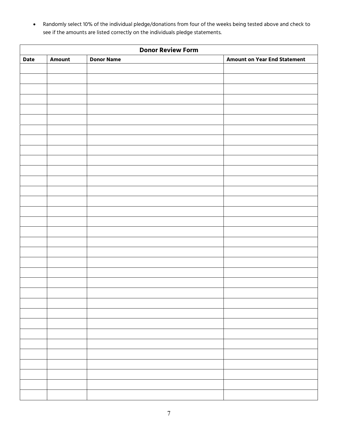• Randomly select 10% of the individual pledge/donations from four of the weeks being tested above and check to see if the amounts are listed correctly on the individuals pledge statements.

| <b>Donor Review Form</b> |               |                   |                                     |  |  |
|--------------------------|---------------|-------------------|-------------------------------------|--|--|
| <b>Date</b>              | <b>Amount</b> | <b>Donor Name</b> | <b>Amount on Year End Statement</b> |  |  |
|                          |               |                   |                                     |  |  |
|                          |               |                   |                                     |  |  |
|                          |               |                   |                                     |  |  |
|                          |               |                   |                                     |  |  |
|                          |               |                   |                                     |  |  |
|                          |               |                   |                                     |  |  |
|                          |               |                   |                                     |  |  |
|                          |               |                   |                                     |  |  |
|                          |               |                   |                                     |  |  |
|                          |               |                   |                                     |  |  |
|                          |               |                   |                                     |  |  |
|                          |               |                   |                                     |  |  |
|                          |               |                   |                                     |  |  |
|                          |               |                   |                                     |  |  |
|                          |               |                   |                                     |  |  |
|                          |               |                   |                                     |  |  |
|                          |               |                   |                                     |  |  |
|                          |               |                   |                                     |  |  |
|                          |               |                   |                                     |  |  |
|                          |               |                   |                                     |  |  |
|                          |               |                   |                                     |  |  |
|                          |               |                   |                                     |  |  |
|                          |               |                   |                                     |  |  |
|                          |               |                   |                                     |  |  |
|                          |               |                   |                                     |  |  |
|                          |               |                   |                                     |  |  |
|                          |               |                   |                                     |  |  |
|                          |               |                   |                                     |  |  |
|                          |               |                   |                                     |  |  |
|                          |               |                   |                                     |  |  |
|                          |               |                   |                                     |  |  |
|                          |               |                   |                                     |  |  |
|                          |               |                   |                                     |  |  |
|                          |               |                   |                                     |  |  |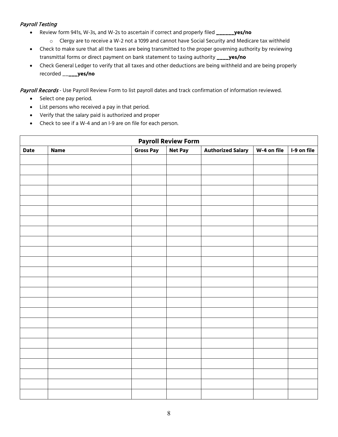#### Payroll Testing

- Review form 941s, W-3s, and W-2s to ascertain if correct and properly filed **\_\_\_\_\_\_yes/no**
	- o Clergy are to receive a W-2 not a 1099 and cannot have Social Security and Medicare tax withheld
- Check to make sure that all the taxes are being transmitted to the proper governing authority by reviewing transmittal forms or direct payment on bank statement to taxing authority **\_\_\_\_yes/no**
- Check General Ledger to verify that all taxes and other deductions are being withheld and are being properly recorded \_\_**\_\_\_yes/no**

Payroll Records - Use Payroll Review Form to list payroll dates and track confirmation of information reviewed.

- Select one pay period.
- List persons who received a pay in that period.
- Verify that the salary paid is authorized and proper
- Check to see if a W-4 and an I-9 are on file for each person.

|             | <b>Payroll Review Form</b> |                  |                |                          |             |             |  |
|-------------|----------------------------|------------------|----------------|--------------------------|-------------|-------------|--|
| <b>Date</b> | <b>Name</b>                | <b>Gross Pay</b> | <b>Net Pay</b> | <b>Authorized Salary</b> | W-4 on file | I-9 on file |  |
|             |                            |                  |                |                          |             |             |  |
|             |                            |                  |                |                          |             |             |  |
|             |                            |                  |                |                          |             |             |  |
|             |                            |                  |                |                          |             |             |  |
|             |                            |                  |                |                          |             |             |  |
|             |                            |                  |                |                          |             |             |  |
|             |                            |                  |                |                          |             |             |  |
|             |                            |                  |                |                          |             |             |  |
|             |                            |                  |                |                          |             |             |  |
|             |                            |                  |                |                          |             |             |  |
|             |                            |                  |                |                          |             |             |  |
|             |                            |                  |                |                          |             |             |  |
|             |                            |                  |                |                          |             |             |  |
|             |                            |                  |                |                          |             |             |  |
|             |                            |                  |                |                          |             |             |  |
|             |                            |                  |                |                          |             |             |  |
|             |                            |                  |                |                          |             |             |  |
|             |                            |                  |                |                          |             |             |  |
|             |                            |                  |                |                          |             |             |  |
|             |                            |                  |                |                          |             |             |  |
|             |                            |                  |                |                          |             |             |  |
|             |                            |                  |                |                          |             |             |  |
|             |                            |                  |                |                          |             |             |  |
|             |                            |                  |                |                          |             |             |  |
|             |                            |                  |                |                          |             |             |  |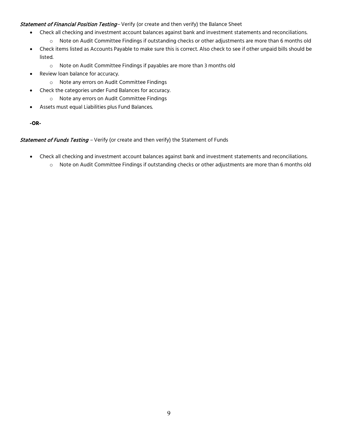#### Statement of Financial Position Testing-Verify (or create and then verify) the Balance Sheet

- Check all checking and investment account balances against bank and investment statements and reconciliations.
	- o Note on Audit Committee Findings if outstanding checks or other adjustments are more than 6 months old
- Check items listed as Accounts Payable to make sure this is correct. Also check to see if other unpaid bills should be listed.
	- o Note on Audit Committee Findings if payables are more than 3 months old
- Review loan balance for accuracy.
	- o Note any errors on Audit Committee Findings
- Check the categories under Fund Balances for accuracy.
	- o Note any errors on Audit Committee Findings
- Assets must equal Liabilities plus Fund Balances.

**-OR-**

Statement of Funds Testing - Verify (or create and then verify) the Statement of Funds

- Check all checking and investment account balances against bank and investment statements and reconciliations.
	- o Note on Audit Committee Findings if outstanding checks or other adjustments are more than 6 months old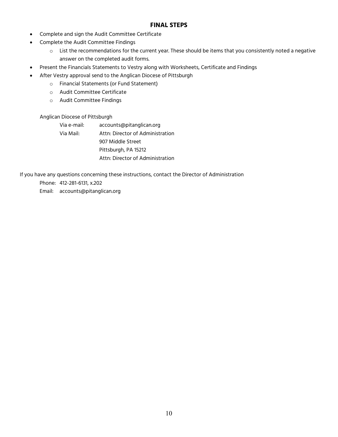#### **FINAL STEPS**

- Complete and sign the Audit Committee Certificate
- Complete the Audit Committee Findings
	- $\circ$  List the recommendations for the current year. These should be items that you consistently noted a negative answer on the completed audit forms.
- Present the Financials Statements to Vestry along with Worksheets, Certificate and Findings
- After Vestry approval send to the Anglican Diocese of Pittsburgh
	- o Financial Statements (or Fund Statement)
	- o Audit Committee Certificate
	- o Audit Committee Findings

#### Anglican Diocese of Pittsburgh

Via e-mail: accounts@pitanglican.org Via Mail: Attn: Director of Administration 907 Middle Street Pittsburgh, PA 15212 Attn: Director of Administration

If you have any questions concerning these instructions, contact the Director of Administration

- Phone: 412-281-6131, x.202
- Email: accounts@pitanglican.org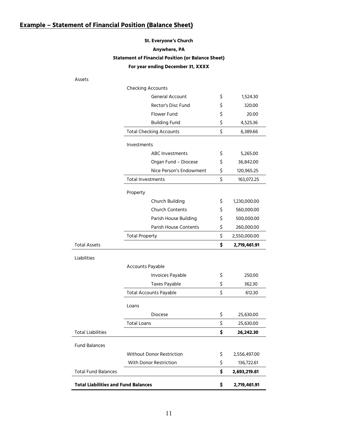# **Example – Statement of Financial Position (Balance Sheet)**

## **St. Everyone's Church Anywhere, PA Statement of Financial Position (or Balance Sheet) For year ending December 31, XXXX**

Assets

|                                            | <b>Checking Accounts</b>       |                         |                    |
|--------------------------------------------|--------------------------------|-------------------------|--------------------|
|                                            |                                | General Account         | \$<br>1,524.30     |
|                                            |                                | Rector's Disc Fund      | \$<br>320.00       |
|                                            | <b>Flower Fund</b>             |                         | \$<br>20.00        |
|                                            | <b>Building Fund</b>           |                         | \$<br>4,525.36     |
|                                            | <b>Total Checking Accounts</b> |                         | \$<br>6,389.66     |
|                                            | <b>Investments</b>             |                         |                    |
|                                            |                                | <b>ABC Investments</b>  | \$<br>5,265.00     |
|                                            |                                | Organ Fund - Diocese    | \$<br>36,842.00    |
|                                            |                                | Nice Person's Endowment | \$<br>120,965.25   |
|                                            | <b>Total Investments</b>       |                         | \$<br>163,072.25   |
|                                            | Property                       |                         |                    |
|                                            |                                | Church Building         | \$<br>1,230,000.00 |
|                                            |                                | <b>Church Contents</b>  | \$<br>560,000.00   |
|                                            |                                | Parish House Building   | \$<br>500,000.00   |
|                                            |                                | Parish House Contents   | \$<br>260,000.00   |
|                                            | <b>Total Property</b>          |                         | \$<br>2,550,000.00 |
| <b>Total Assets</b>                        |                                |                         | \$<br>2,719,461.91 |
| Liabilities                                |                                |                         |                    |
|                                            | Accounts Payable               |                         |                    |
|                                            |                                | Invoices Payable        | \$<br>250.00       |
|                                            |                                | Taxes Payable           | \$<br>362.30       |
|                                            | <b>Total Accounts Payable</b>  |                         | \$<br>612.30       |
|                                            | Loans                          |                         |                    |
|                                            | <b>Diocese</b>                 |                         | \$<br>25,630.00    |
|                                            | <b>Total Loans</b>             |                         | \$<br>25,630.00    |
| <b>Total Liabilities</b>                   |                                |                         | \$<br>26,242.30    |
| <b>Fund Balances</b>                       |                                |                         |                    |
|                                            | Without Donor Restriction      |                         | \$<br>2,556,497.00 |
|                                            | With Donor Restriction         |                         | \$<br>136,722.61   |
| <b>Total Fund Balances</b>                 |                                |                         | \$<br>2,693,219.61 |
| <b>Total Liabilities and Fund Balances</b> |                                |                         | \$<br>2,719,461.91 |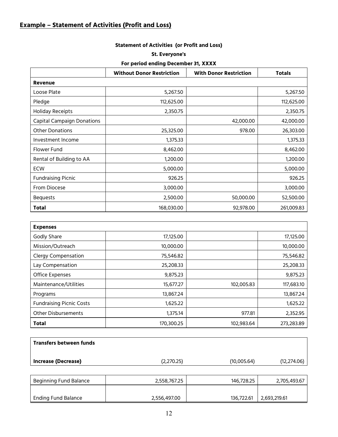# **Example – Statement of Activities (Profit and Loss)**

## **Statement of Activities (or Profit and Loss)**

#### **St. Everyone's**

#### **For period ending December 31, XXXX**

|                                   | <b>Without Donor Restriction</b> | <b>With Donor Restriction</b> | <b>Totals</b> |  |  |  |
|-----------------------------------|----------------------------------|-------------------------------|---------------|--|--|--|
| Revenue                           |                                  |                               |               |  |  |  |
| Loose Plate                       | 5,267.50                         |                               | 5,267.50      |  |  |  |
| Pledge                            | 112,625.00                       |                               | 112,625.00    |  |  |  |
| <b>Holiday Receipts</b>           | 2,350.75                         |                               | 2,350.75      |  |  |  |
| <b>Capital Campaign Donations</b> |                                  | 42,000.00                     | 42,000.00     |  |  |  |
| <b>Other Donations</b>            | 25,325.00                        | 978.00                        | 26,303.00     |  |  |  |
| Investment Income                 | 1,375.33                         |                               | 1,375.33      |  |  |  |
| Flower Fund                       | 8,462.00                         |                               | 8,462.00      |  |  |  |
| Rental of Building to AA          | 1,200.00                         |                               | 1,200.00      |  |  |  |
| <b>ECW</b>                        | 5,000.00                         |                               | 5,000.00      |  |  |  |
| <b>Fundraising Picnic</b>         | 926.25                           |                               | 926.25        |  |  |  |
| From Diocese                      | 3,000.00                         |                               | 3,000.00      |  |  |  |
| <b>Bequests</b>                   | 2,500.00                         | 50,000.00                     | 52,500.00     |  |  |  |
| <b>Total</b>                      | 168,030.00                       | 92,978.00                     | 261,009.83    |  |  |  |

| <b>Expenses</b>                 |            |            |            |
|---------------------------------|------------|------------|------------|
| Godly Share                     | 17,125.00  |            | 17,125.00  |
| Mission/Outreach                | 10,000.00  |            | 10,000.00  |
| <b>Clergy Compensation</b>      | 75,546.82  |            | 75,546.82  |
| Lay Compensation                | 25,208.33  |            | 25,208.33  |
| Office Expenses                 | 9,875.23   |            | 9,875.23   |
| Maintenance/Utilities           | 15,677.27  | 102,005.83 | 117,683.10 |
| Programs                        | 13,867.24  |            | 13,867.24  |
| <b>Fundraising Picnic Costs</b> | 1,625.22   |            | 1,625.22   |
| <b>Other Disbursements</b>      | 1,375.14   | 977.81     | 2,352.95   |
| <b>Total</b>                    | 170,300.25 | 102,983.64 | 273,283.89 |

| <b>Increase (Decrease)</b>     | (2,270.25) | (10,005.64) | (12, 274.06) |
|--------------------------------|------------|-------------|--------------|
| <b>Transfers between funds</b> |            |             |              |

| Beginning Fund Balance     | 2,558,767.25 | 146,728.25 | 2,705,493.67 |
|----------------------------|--------------|------------|--------------|
|                            |              |            |              |
| <b>Ending Fund Balance</b> | 2,556,497.00 | 136,722.61 | 2,693,219.61 |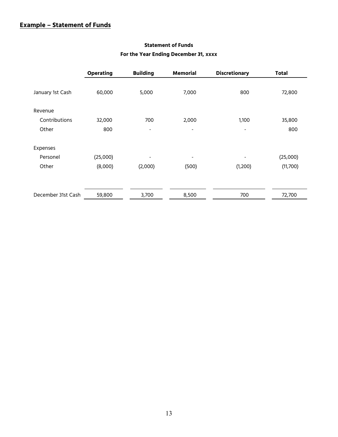## **Example – Statement of Funds**

|                    | <b>Operating</b> | <b>Building</b> | <b>Memorial</b>          | <b>Discretionary</b> | <b>Total</b> |
|--------------------|------------------|-----------------|--------------------------|----------------------|--------------|
| January 1st Cash   | 60,000           | 5,000           | 7,000                    | 800                  | 72,800       |
| Revenue            |                  |                 |                          |                      |              |
| Contributions      | 32,000           | 700             | 2,000                    | 1,100                | 35,800       |
| Other              | 800              | -               | $\overline{\phantom{a}}$ | -                    | 800          |
| Expenses           |                  |                 |                          |                      |              |
| Personel           | (25,000)         | -               | $\overline{\phantom{a}}$ |                      | (25,000)     |
| Other              | (8,000)          | (2,000)         | (500)                    | (1,200)              | (11,700)     |
|                    |                  |                 |                          |                      |              |
| December 31st Cash | 59,800           | 3,700           | 8,500                    | 700                  | 72,700       |

#### **Statement of Funds**

#### **For the Year Ending December 31, xxxx**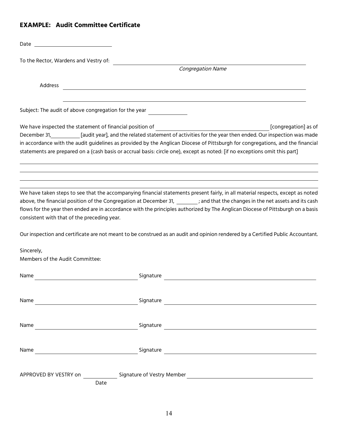## **EXAMPLE: Audit Committee Certificate**

| Date                                                                     |           |                                                                                                                                                                                                                                                                                                                                                                                                      |
|--------------------------------------------------------------------------|-----------|------------------------------------------------------------------------------------------------------------------------------------------------------------------------------------------------------------------------------------------------------------------------------------------------------------------------------------------------------------------------------------------------------|
| To the Rector, Wardens and Vestry of:                                    |           |                                                                                                                                                                                                                                                                                                                                                                                                      |
|                                                                          |           | <b>Congregation Name</b>                                                                                                                                                                                                                                                                                                                                                                             |
| Address                                                                  |           |                                                                                                                                                                                                                                                                                                                                                                                                      |
| Subject: The audit of above congregation for the year                    |           |                                                                                                                                                                                                                                                                                                                                                                                                      |
| We have inspected the statement of financial position of<br>December 31, |           | [congregation] as of<br>[audit year], and the related statement of activities for the year then ended. Our inspection was made<br>in accordance with the audit guidelines as provided by the Anglican Diocese of Pittsburgh for congregations, and the financial<br>statements are prepared on a (cash basis or accrual basis: circle one), except as noted: [if no exceptions omit this part]       |
| consistent with that of the preceding year.                              |           | We have taken steps to see that the accompanying financial statements present fairly, in all material respects, except as noted<br>above, the financial position of the Congregation at December 31, _______; and that the changes in the net assets and its cash<br>flows for the year then ended are in accordance with the principles authorized by The Anglican Diocese of Pittsburgh on a basis |
|                                                                          |           | Our inspection and certificate are not meant to be construed as an audit and opinion rendered by a Certified Public Accountant.                                                                                                                                                                                                                                                                      |
| Sincerely,<br>Members of the Audit Committee:                            |           |                                                                                                                                                                                                                                                                                                                                                                                                      |
| Name                                                                     | Signature |                                                                                                                                                                                                                                                                                                                                                                                                      |
| Name                                                                     |           | Signature and the contract of the contract of the contract of the contract of the contract of the contract of the contract of the contract of the contract of the contract of the contract of the contract of the contract of                                                                                                                                                                        |
|                                                                          |           |                                                                                                                                                                                                                                                                                                                                                                                                      |
|                                                                          |           |                                                                                                                                                                                                                                                                                                                                                                                                      |
| Date                                                                     |           |                                                                                                                                                                                                                                                                                                                                                                                                      |